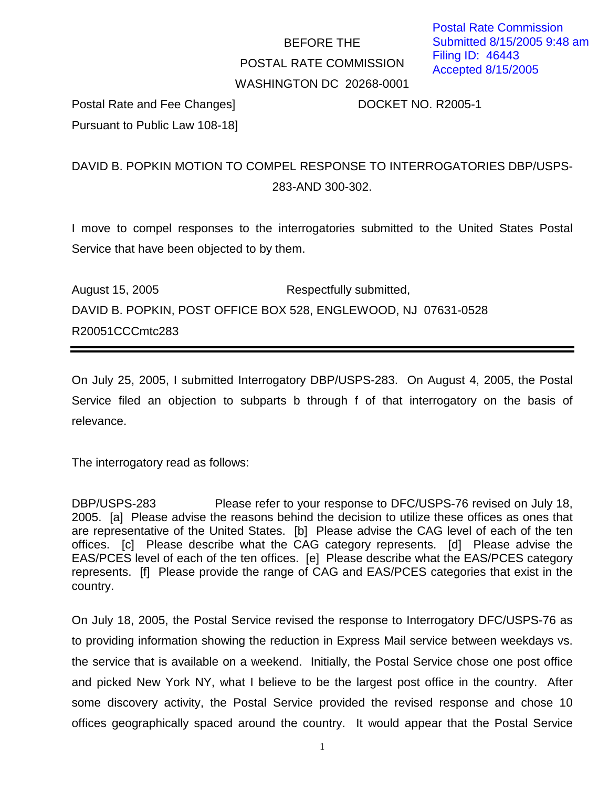## BEFORE THE POSTAL RATE COMMISSION WASHINGTON DC 20268-0001

Postal Rate and Fee Changes] DOCKET NO. R2005-1 Pursuant to Public Law 108-18]

## DAVID B. POPKIN MOTION TO COMPEL RESPONSE TO INTERROGATORIES DBP/USPS-283-AND 300-302.

I move to compel responses to the interrogatories submitted to the United States Postal Service that have been objected to by them.

August 15, 2005 Respectfully submitted, DAVID B. POPKIN, POST OFFICE BOX 528, ENGLEWOOD, NJ 07631-0528 R20051CCCmtc283

On July 25, 2005, I submitted Interrogatory DBP/USPS-283. On August 4, 2005, the Postal Service filed an objection to subparts b through f of that interrogatory on the basis of relevance.

The interrogatory read as follows:

DBP/USPS-283 Please refer to your response to DFC/USPS-76 revised on July 18, 2005. [a] Please advise the reasons behind the decision to utilize these offices as ones that are representative of the United States. [b] Please advise the CAG level of each of the ten offices. [c] Please describe what the CAG category represents. [d] Please advise the EAS/PCES level of each of the ten offices. [e] Please describe what the EAS/PCES category represents. [f] Please provide the range of CAG and EAS/PCES categories that exist in the country.

On July 18, 2005, the Postal Service revised the response to Interrogatory DFC/USPS-76 as to providing information showing the reduction in Express Mail service between weekdays vs. the service that is available on a weekend. Initially, the Postal Service chose one post office and picked New York NY, what I believe to be the largest post office in the country. After some discovery activity, the Postal Service provided the revised response and chose 10 offices geographically spaced around the country. It would appear that the Postal Service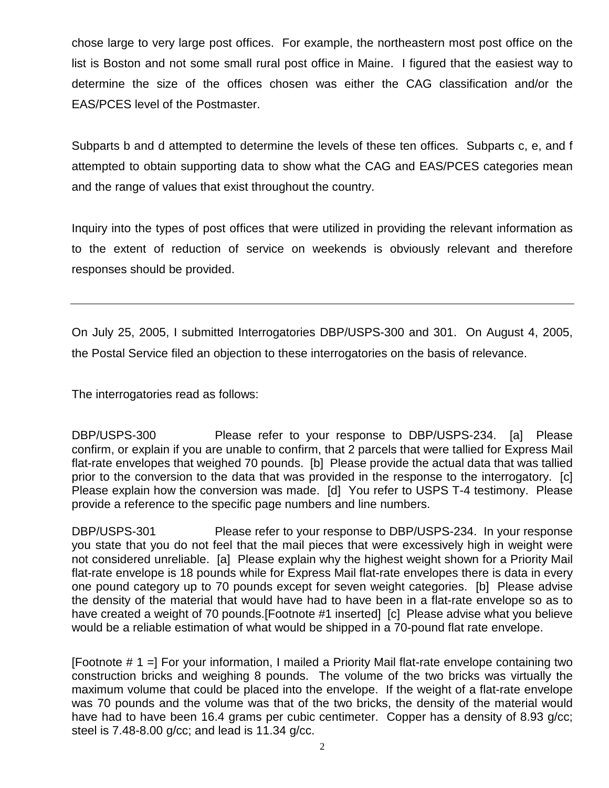chose large to very large post offices. For example, the northeastern most post office on the list is Boston and not some small rural post office in Maine. I figured that the easiest way to determine the size of the offices chosen was either the CAG classification and/or the EAS/PCES level of the Postmaster.

Subparts b and d attempted to determine the levels of these ten offices. Subparts c, e, and f attempted to obtain supporting data to show what the CAG and EAS/PCES categories mean and the range of values that exist throughout the country.

Inquiry into the types of post offices that were utilized in providing the relevant information as to the extent of reduction of service on weekends is obviously relevant and therefore responses should be provided.

On July 25, 2005, I submitted Interrogatories DBP/USPS-300 and 301. On August 4, 2005, the Postal Service filed an objection to these interrogatories on the basis of relevance.

The interrogatories read as follows:

DBP/USPS-300 Please refer to your response to DBP/USPS-234. [a] Please confirm, or explain if you are unable to confirm, that 2 parcels that were tallied for Express Mail flat-rate envelopes that weighed 70 pounds. [b] Please provide the actual data that was tallied prior to the conversion to the data that was provided in the response to the interrogatory. [c] Please explain how the conversion was made. [d] You refer to USPS T-4 testimony. Please provide a reference to the specific page numbers and line numbers.

DBP/USPS-301 Please refer to your response to DBP/USPS-234. In your response you state that you do not feel that the mail pieces that were excessively high in weight were not considered unreliable. [a] Please explain why the highest weight shown for a Priority Mail flat-rate envelope is 18 pounds while for Express Mail flat-rate envelopes there is data in every one pound category up to 70 pounds except for seven weight categories. [b] Please advise the density of the material that would have had to have been in a flat-rate envelope so as to have created a weight of 70 pounds. [Footnote #1 inserted] [c] Please advise what you believe would be a reliable estimation of what would be shipped in a 70-pound flat rate envelope.

[Footnote # 1 =] For your information, I mailed a Priority Mail flat-rate envelope containing two construction bricks and weighing 8 pounds. The volume of the two bricks was virtually the maximum volume that could be placed into the envelope. If the weight of a flat-rate envelope was 70 pounds and the volume was that of the two bricks, the density of the material would have had to have been 16.4 grams per cubic centimeter. Copper has a density of 8.93 g/cc; steel is 7.48-8.00 g/cc; and lead is 11.34 g/cc.